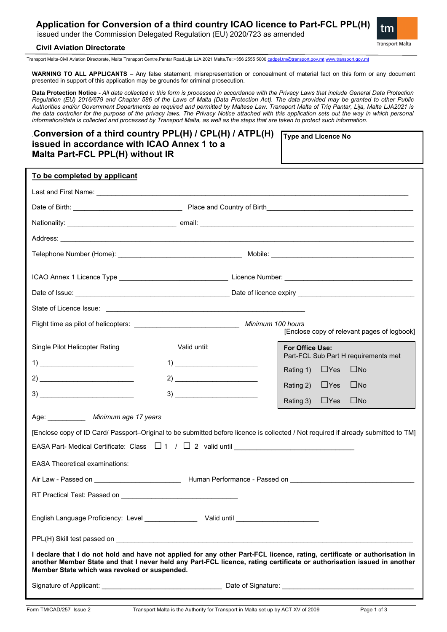# **Application for Conversion of a third country ICAO licence to Part-FCL PPL(H)**

issued under the Commission Delegated Regulation (EU) 2020/723 as amended



## **Civil Aviation Directorate**

Transport Malta-Civil Aviation Directorate, Malta Transport Centre,Pantar Road,Lija LJA 2021 Malta.Tel:+356 2555 5000 [cadpel.tm@transport.gov.mt](mailto:cadpel.tm@transport.gov.mt) [www.transport.gov.mt](http://www.transport.gov.mt/)

**WARNING TO ALL APPLICANTS** – Any false statement, misrepresentation or concealment of material fact on this form or any document presented in support of this application may be grounds for criminal prosecution.

**Data Protection Notice -** *All data collected in this form is processed in accordance with the Privacy Laws that include General Data Protection Regulation (EU) 2016/679 and Chapter 586 of the Laws of Malta (Data Protection Act). The data provided may be granted to other Public Authorities and/or Government Departments as required and permitted by Maltese Law. Transport Malta of Triq Pantar, Lija, Malta LJA2021 is the data controller for the purpose of the privacy laws. The Privacy Notice attached with this application sets out the way in which personal information/data is collected and processed by Transport Malta, as well as the steps that are taken to protect such information.*

| Conversion of a third country PPL(H) / CPL(H) / ATPL(H) [ |  |
|-----------------------------------------------------------|--|
| issued in accordance with ICAO Annex 1 to a               |  |
| Malta Part-FCL PPL(H) without IR                          |  |

**Type and Licence No** 

| To be completed by applicant<br>Single Pilot Helicopter Rating<br>Valid until:<br>For Office Use:<br>Part-FCL Sub Part H requirements met<br>$\begin{tabular}{c} 1) \end{tabular}$<br>$\square$ No<br>$\Box$ Yes<br>Rating 1)<br>$\Box$ Yes<br>$\square$ No<br>Rating 2)<br>$3) \underline{\hspace{20mm}}$<br>$\Box$ Yes<br>$\square$ No<br>Rating 3)<br>Age: ______________ Minimum age 17 years<br>EASA Part- Medical Certificate: Class $\Box$ 1 / $\Box$ 2 valid until $\Box$<br><b>EASA Theoretical examinations:</b><br>Air Law - Passed on<br>RT Practical Test: Passed on<br>Member State which was revoked or suspended. |                                                                                                                                                                                                                                                     |  |                                             |  |  |
|-----------------------------------------------------------------------------------------------------------------------------------------------------------------------------------------------------------------------------------------------------------------------------------------------------------------------------------------------------------------------------------------------------------------------------------------------------------------------------------------------------------------------------------------------------------------------------------------------------------------------------------|-----------------------------------------------------------------------------------------------------------------------------------------------------------------------------------------------------------------------------------------------------|--|---------------------------------------------|--|--|
|                                                                                                                                                                                                                                                                                                                                                                                                                                                                                                                                                                                                                                   |                                                                                                                                                                                                                                                     |  |                                             |  |  |
|                                                                                                                                                                                                                                                                                                                                                                                                                                                                                                                                                                                                                                   |                                                                                                                                                                                                                                                     |  |                                             |  |  |
|                                                                                                                                                                                                                                                                                                                                                                                                                                                                                                                                                                                                                                   |                                                                                                                                                                                                                                                     |  |                                             |  |  |
|                                                                                                                                                                                                                                                                                                                                                                                                                                                                                                                                                                                                                                   |                                                                                                                                                                                                                                                     |  |                                             |  |  |
|                                                                                                                                                                                                                                                                                                                                                                                                                                                                                                                                                                                                                                   |                                                                                                                                                                                                                                                     |  |                                             |  |  |
|                                                                                                                                                                                                                                                                                                                                                                                                                                                                                                                                                                                                                                   |                                                                                                                                                                                                                                                     |  |                                             |  |  |
|                                                                                                                                                                                                                                                                                                                                                                                                                                                                                                                                                                                                                                   |                                                                                                                                                                                                                                                     |  |                                             |  |  |
|                                                                                                                                                                                                                                                                                                                                                                                                                                                                                                                                                                                                                                   |                                                                                                                                                                                                                                                     |  |                                             |  |  |
|                                                                                                                                                                                                                                                                                                                                                                                                                                                                                                                                                                                                                                   |                                                                                                                                                                                                                                                     |  |                                             |  |  |
|                                                                                                                                                                                                                                                                                                                                                                                                                                                                                                                                                                                                                                   |                                                                                                                                                                                                                                                     |  | [Enclose copy of relevant pages of logbook] |  |  |
|                                                                                                                                                                                                                                                                                                                                                                                                                                                                                                                                                                                                                                   |                                                                                                                                                                                                                                                     |  |                                             |  |  |
|                                                                                                                                                                                                                                                                                                                                                                                                                                                                                                                                                                                                                                   |                                                                                                                                                                                                                                                     |  |                                             |  |  |
|                                                                                                                                                                                                                                                                                                                                                                                                                                                                                                                                                                                                                                   |                                                                                                                                                                                                                                                     |  |                                             |  |  |
|                                                                                                                                                                                                                                                                                                                                                                                                                                                                                                                                                                                                                                   |                                                                                                                                                                                                                                                     |  |                                             |  |  |
|                                                                                                                                                                                                                                                                                                                                                                                                                                                                                                                                                                                                                                   |                                                                                                                                                                                                                                                     |  |                                             |  |  |
|                                                                                                                                                                                                                                                                                                                                                                                                                                                                                                                                                                                                                                   | [Enclose copy of ID Card/ Passport-Original to be submitted before licence is collected / Not required if already submitted to TM]                                                                                                                  |  |                                             |  |  |
|                                                                                                                                                                                                                                                                                                                                                                                                                                                                                                                                                                                                                                   |                                                                                                                                                                                                                                                     |  |                                             |  |  |
|                                                                                                                                                                                                                                                                                                                                                                                                                                                                                                                                                                                                                                   |                                                                                                                                                                                                                                                     |  |                                             |  |  |
|                                                                                                                                                                                                                                                                                                                                                                                                                                                                                                                                                                                                                                   |                                                                                                                                                                                                                                                     |  |                                             |  |  |
|                                                                                                                                                                                                                                                                                                                                                                                                                                                                                                                                                                                                                                   |                                                                                                                                                                                                                                                     |  |                                             |  |  |
|                                                                                                                                                                                                                                                                                                                                                                                                                                                                                                                                                                                                                                   |                                                                                                                                                                                                                                                     |  |                                             |  |  |
|                                                                                                                                                                                                                                                                                                                                                                                                                                                                                                                                                                                                                                   |                                                                                                                                                                                                                                                     |  |                                             |  |  |
|                                                                                                                                                                                                                                                                                                                                                                                                                                                                                                                                                                                                                                   | I declare that I do not hold and have not applied for any other Part-FCL licence, rating, certificate or authorisation in<br>another Member State and that I never held any Part-FCL licence, rating certificate or authorisation issued in another |  |                                             |  |  |
|                                                                                                                                                                                                                                                                                                                                                                                                                                                                                                                                                                                                                                   |                                                                                                                                                                                                                                                     |  |                                             |  |  |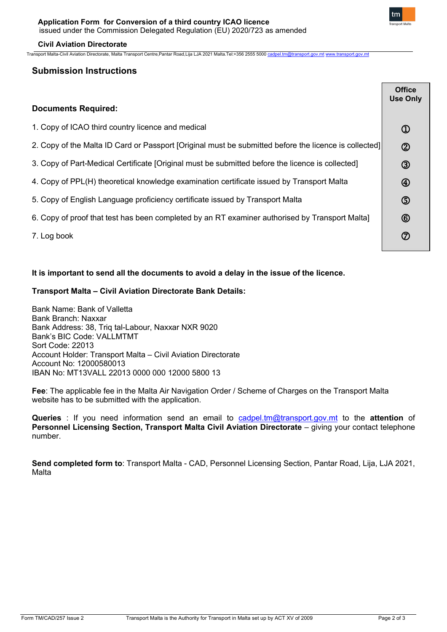

## **Civil Aviation Directorate**

Transport Malta-Civil Aviation Directorate, Malta Transport Centre,Pantar Road,Lija LJA 2021 Malta.Tel:+356 2555 5000 [cadpel.tm@transport.gov.mt](mailto:cadpel.tm@transport.gov.mt) [www.transport.gov.mt](http://www.transport.gov.mt/)

# **Submission Instructions**

|                                                                                                       | <b>Office</b><br><b>Use Only</b> |
|-------------------------------------------------------------------------------------------------------|----------------------------------|
| <b>Documents Required:</b>                                                                            |                                  |
| 1. Copy of ICAO third country licence and medical                                                     | $^\copyright$                    |
| 2. Copy of the Malta ID Card or Passport [Original must be submitted before the licence is collected] | $\circledR$                      |
| 3. Copy of Part-Medical Certificate [Original must be submitted before the licence is collected]      | $\circledS$                      |
| 4. Copy of PPL(H) theoretical knowledge examination certificate issued by Transport Malta             | $\circledast$                    |
| 5. Copy of English Language proficiency certificate issued by Transport Malta                         | $\circledS$                      |
| 6. Copy of proof that test has been completed by an RT examiner authorised by Transport Malta]        | $^{\circledR}$                   |
| 7. Log book                                                                                           | $^\circledR$                     |

# **It is important to send all the documents to avoid a delay in the issue of the licence.**

# **Transport Malta – Civil Aviation Directorate Bank Details:**

Bank Name: Bank of Valletta Bank Branch: Naxxar Bank Address: 38, Triq tal-Labour, Naxxar NXR 9020 Bank's BIC Code: VALLMTMT Sort Code: 22013 Account Holder: Transport Malta – Civil Aviation Directorate Account No: 12000580013 IBAN No: MT13VALL 22013 0000 000 12000 5800 13

**Fee**: The applicable fee in the Malta Air Navigation Order / Scheme of Charges on the Transport Malta website has to be submitted with the application.

**Queries** : If you need information send an email to [cadpel.tm@transport.gov.mt](mailto:cadpel.tm@transport.gov.mt) to the **attention** of **Personnel Licensing Section, Transport Malta Civil Aviation Directorate** – giving your contact telephone number.

**Send completed form to**: Transport Malta - CAD, Personnel Licensing Section, Pantar Road, Lija, LJA 2021, Malta